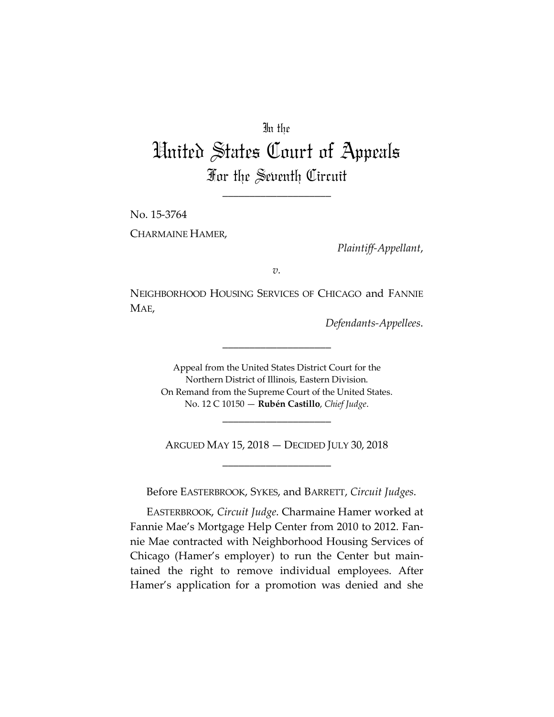## In the

## United States Court of Appeals For the Seventh Circuit

\_\_\_\_\_\_\_\_\_\_\_\_\_\_\_\_\_\_\_\_

No. 15-3764 CHARMAINE HAMER,

*Plaintiff-Appellant*,

*v.*

NEIGHBORHOOD HOUSING SERVICES OF CHICAGO and FANNIE MAE,

\_\_\_\_\_\_\_\_\_\_\_\_\_\_\_\_\_\_\_\_

*Defendants-Appellees*.

Appeal from the United States District Court for the Northern District of Illinois, Eastern Division. On Remand from the Supreme Court of the United States. No. 12 C 10150 — **Rubén Castillo**, *Chief Judge*.

ARGUED MAY 15, 2018 — DECIDED JULY 30, 2018 \_\_\_\_\_\_\_\_\_\_\_\_\_\_\_\_\_\_\_\_

\_\_\_\_\_\_\_\_\_\_\_\_\_\_\_\_\_\_\_\_

Before EASTERBROOK, SYKES, and BARRETT, *Circuit Judges*.

EASTERBROOK, *Circuit Judge*. Charmaine Hamer worked at Fannie Mae's Mortgage Help Center from 2010 to 2012. Fannie Mae contracted with Neighborhood Housing Services of Chicago (Hamer's employer) to run the Center but maintained the right to remove individual employees. After Hamer's application for a promotion was denied and she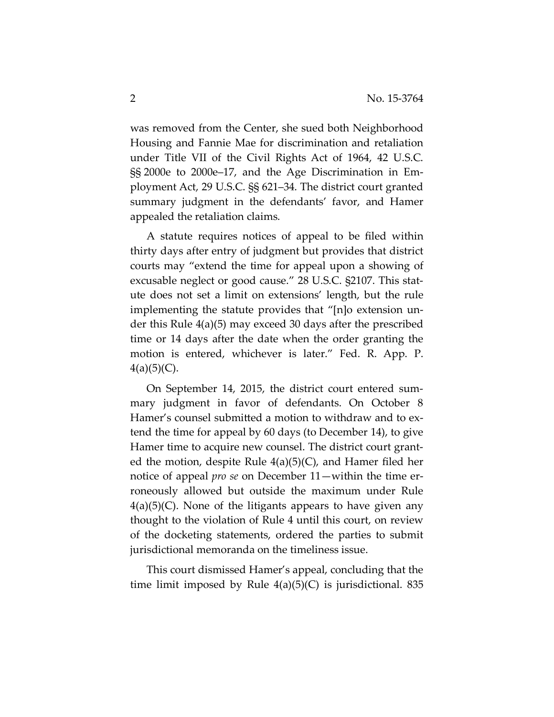was removed from the Center, she sued both Neighborhood Housing and Fannie Mae for discrimination and retaliation under Title VII of the Civil Rights Act of 1964, 42 U.S.C. §§ 2000e to 2000e–17, and the Age Discrimination in Employment Act, 29 U.S.C. §§ 621–34. The district court granted summary judgment in the defendants' favor, and Hamer appealed the retaliation claims.

A statute requires notices of appeal to be filed within thirty days after entry of judgment but provides that district courts may "extend the time for appeal upon a showing of excusable neglect or good cause." 28 U.S.C. §2107. This statute does not set a limit on extensions' length, but the rule implementing the statute provides that "[n]o extension under this Rule 4(a)(5) may exceed 30 days after the prescribed time or 14 days after the date when the order granting the motion is entered, whichever is later." Fed. R. App. P.  $4(a)(5)(C)$ .

On September 14, 2015, the district court entered summary judgment in favor of defendants. On October 8 Hamer's counsel submitted a motion to withdraw and to extend the time for appeal by 60 days (to December 14), to give Hamer time to acquire new counsel. The district court granted the motion, despite Rule  $4(a)(5)(C)$ , and Hamer filed her notice of appeal *pro se* on December 11—within the time erroneously allowed but outside the maximum under Rule  $4(a)(5)(C)$ . None of the litigants appears to have given any thought to the violation of Rule 4 until this court, on review of the docketing statements, ordered the parties to submit jurisdictional memoranda on the timeliness issue.

This court dismissed Hamer's appeal, concluding that the time limit imposed by Rule  $4(a)(5)(C)$  is jurisdictional. 835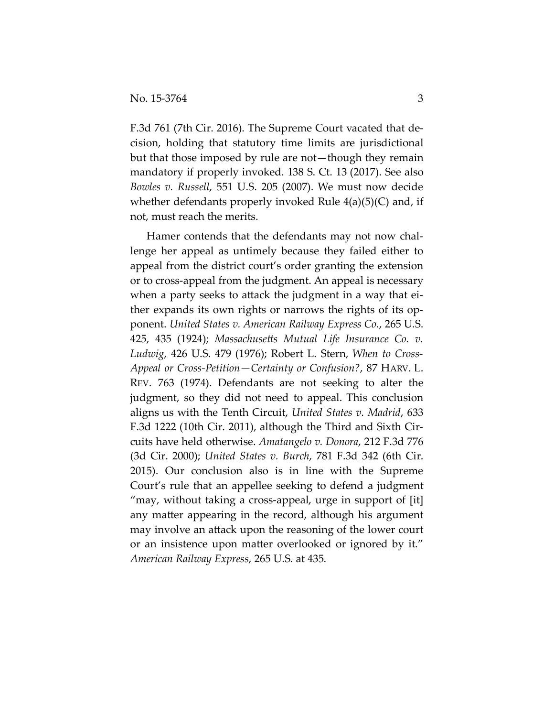F.3d 761 (7th Cir. 2016). The Supreme Court vacated that decision, holding that statutory time limits are jurisdictional but that those imposed by rule are not—though they remain mandatory if properly invoked. 138 S. Ct. 13 (2017). See also *Bowles v. Russell*, 551 U.S. 205 (2007). We must now decide whether defendants properly invoked Rule  $4(a)(5)(C)$  and, if not, must reach the merits.

Hamer contends that the defendants may not now challenge her appeal as untimely because they failed either to appeal from the district court's order granting the extension or to cross-appeal from the judgment. An appeal is necessary when a party seeks to attack the judgment in a way that either expands its own rights or narrows the rights of its opponent. *United States v. American Railway Express Co.*, 265 U.S. 425, 435 (1924); *Massachusetts Mutual Life Insurance Co. v. Ludwig*, 426 U.S. 479 (1976); Robert L. Stern, *When to Cross-Appeal or Cross-Petition—Certainty or Confusion?*, 87 HARV. L. REV. 763 (1974). Defendants are not seeking to alter the judgment, so they did not need to appeal. This conclusion aligns us with the Tenth Circuit, *United States v. Madrid*, 633 F.3d 1222 (10th Cir. 2011), although the Third and Sixth Circuits have held otherwise. *Amatangelo v. Donora*, 212 F.3d 776 (3d Cir. 2000); *United States v. Burch*, 781 F.3d 342 (6th Cir. 2015). Our conclusion also is in line with the Supreme Court's rule that an appellee seeking to defend a judgment "may, without taking a cross-appeal, urge in support of [it] any matter appearing in the record, although his argument may involve an attack upon the reasoning of the lower court or an insistence upon matter overlooked or ignored by it." *American Railway Express*, 265 U.S. at 435.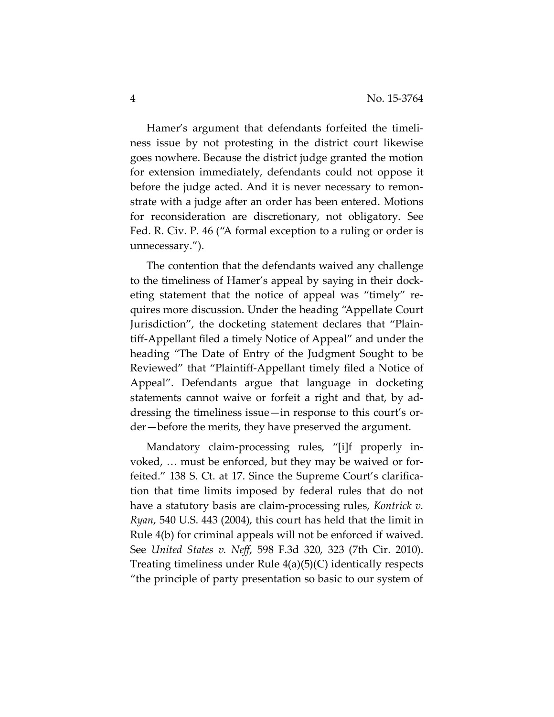Hamer's argument that defendants forfeited the timeliness issue by not protesting in the district court likewise goes nowhere. Because the district judge granted the motion for extension immediately, defendants could not oppose it before the judge acted. And it is never necessary to remonstrate with a judge after an order has been entered. Motions for reconsideration are discretionary, not obligatory. See Fed. R. Civ. P. 46 ("A formal exception to a ruling or order is unnecessary.").

The contention that the defendants waived any challenge to the timeliness of Hamer's appeal by saying in their docketing statement that the notice of appeal was "timely" requires more discussion. Under the heading "Appellate Court Jurisdiction", the docketing statement declares that "Plaintiff-Appellant filed a timely Notice of Appeal" and under the heading "The Date of Entry of the Judgment Sought to be Reviewed" that "Plaintiff-Appellant timely filed a Notice of Appeal". Defendants argue that language in docketing statements cannot waive or forfeit a right and that, by addressing the timeliness issue—in response to this court's order—before the merits, they have preserved the argument.

Mandatory claim-processing rules, "[i]f properly invoked, … must be enforced, but they may be waived or forfeited." 138 S. Ct. at 17. Since the Supreme Court's clarification that time limits imposed by federal rules that do not have a statutory basis are claim-processing rules, *Kontrick v. Ryan*, 540 U.S. 443 (2004), this court has held that the limit in Rule 4(b) for criminal appeals will not be enforced if waived. See *United States v. Neff*, 598 F.3d 320, 323 (7th Cir. 2010). Treating timeliness under Rule 4(a)(5)(C) identically respects "the principle of party presentation so basic to our system of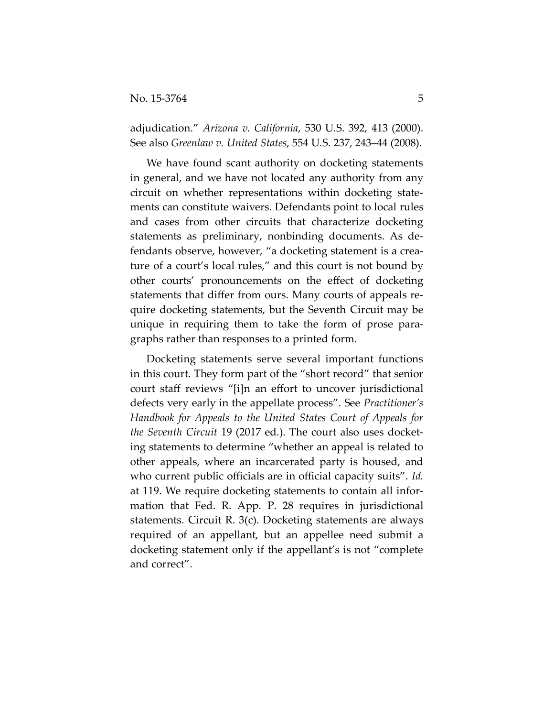adjudication." *Arizona v. California*, 530 U.S. 392, 413 (2000). See also *Greenlaw v. United States*, 554 U.S. 237, 243–44 (2008).

We have found scant authority on docketing statements in general, and we have not located any authority from any circuit on whether representations within docketing statements can constitute waivers. Defendants point to local rules and cases from other circuits that characterize docketing statements as preliminary, nonbinding documents. As defendants observe, however, "a docketing statement is a creature of a court's local rules," and this court is not bound by other courts' pronouncements on the effect of docketing statements that differ from ours. Many courts of appeals require docketing statements, but the Seventh Circuit may be unique in requiring them to take the form of prose paragraphs rather than responses to a printed form.

Docketing statements serve several important functions in this court. They form part of the "short record" that senior court staff reviews "[i]n an effort to uncover jurisdictional defects very early in the appellate process". See *Practitioner's Handbook for Appeals to the United States Court of Appeals for the Seventh Circuit* 19 (2017 ed.). The court also uses docketing statements to determine "whether an appeal is related to other appeals, where an incarcerated party is housed, and who current public officials are in official capacity suits". *Id.* at 119. We require docketing statements to contain all information that Fed. R. App. P. 28 requires in jurisdictional statements. Circuit R. 3(c). Docketing statements are always required of an appellant, but an appellee need submit a docketing statement only if the appellant's is not "complete and correct".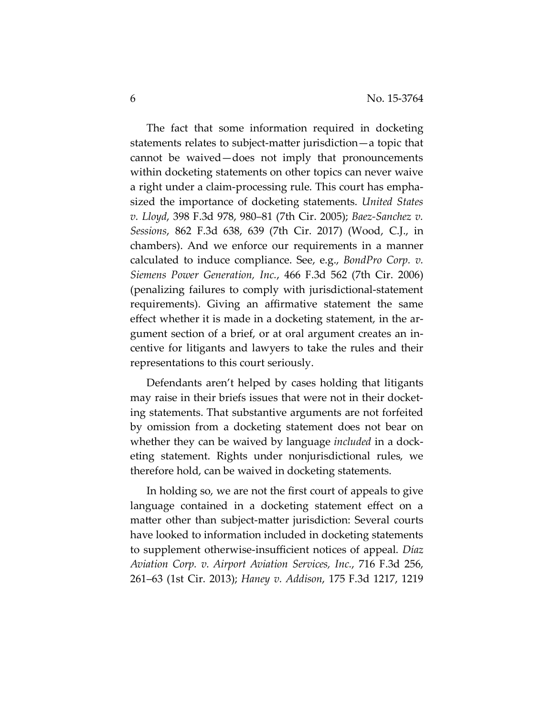The fact that some information required in docketing statements relates to subject-matter jurisdiction—a topic that cannot be waived—does not imply that pronouncements within docketing statements on other topics can never waive a right under a claim-processing rule. This court has emphasized the importance of docketing statements. *United States v. Lloyd*, 398 F.3d 978, 980–81 (7th Cir. 2005); *Baez-Sanchez v. Sessions*, 862 F.3d 638, 639 (7th Cir. 2017) (Wood, C.J., in chambers). And we enforce our requirements in a manner calculated to induce compliance. See, e.g., *BondPro Corp. v. Siemens Power Generation, Inc.*, 466 F.3d 562 (7th Cir. 2006) (penalizing failures to comply with jurisdictional-statement requirements). Giving an affirmative statement the same effect whether it is made in a docketing statement, in the argument section of a brief, or at oral argument creates an incentive for litigants and lawyers to take the rules and their representations to this court seriously.

Defendants aren't helped by cases holding that litigants may raise in their briefs issues that were not in their docketing statements. That substantive arguments are not forfeited by omission from a docketing statement does not bear on whether they can be waived by language *included* in a docketing statement. Rights under nonjurisdictional rules, we therefore hold, can be waived in docketing statements.

In holding so, we are not the first court of appeals to give language contained in a docketing statement effect on a matter other than subject-matter jurisdiction: Several courts have looked to information included in docketing statements to supplement otherwise-insufficient notices of appeal. *Díaz Aviation Corp. v. Airport Aviation Services, Inc.*, 716 F.3d 256, 261–63 (1st Cir. 2013); *Haney v. Addison*, 175 F.3d 1217, 1219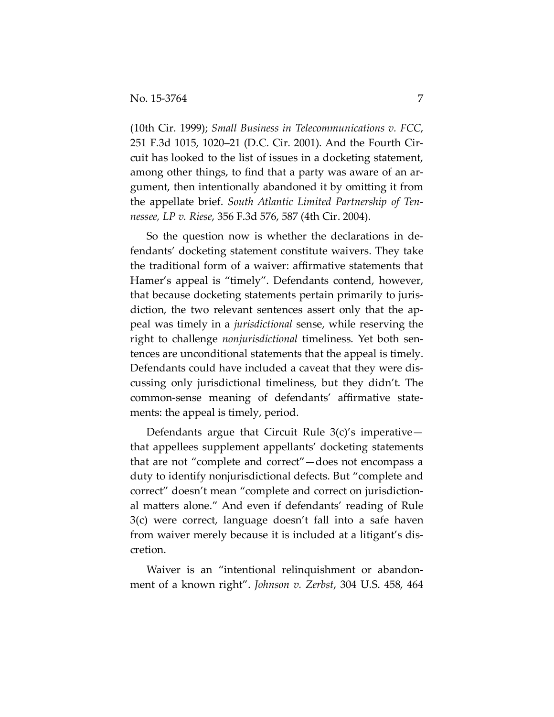(10th Cir. 1999); *Small Business in Telecommunications v. FCC*, 251 F.3d 1015, 1020–21 (D.C. Cir. 2001). And the Fourth Circuit has looked to the list of issues in a docketing statement, among other things, to find that a party was aware of an argument, then intentionally abandoned it by omitting it from the appellate brief. *South Atlantic Limited Partnership of Tennessee, LP v. Riese*, 356 F.3d 576, 587 (4th Cir. 2004).

So the question now is whether the declarations in defendants' docketing statement constitute waivers. They take the traditional form of a waiver: affirmative statements that Hamer's appeal is "timely". Defendants contend, however, that because docketing statements pertain primarily to jurisdiction, the two relevant sentences assert only that the appeal was timely in a *jurisdictional* sense, while reserving the right to challenge *nonjurisdictional* timeliness. Yet both sentences are unconditional statements that the appeal is timely. Defendants could have included a caveat that they were discussing only jurisdictional timeliness, but they didn't. The common-sense meaning of defendants' affirmative statements: the appeal is timely, period.

Defendants argue that Circuit Rule 3(c)'s imperative that appellees supplement appellants' docketing statements that are not "complete and correct"—does not encompass a duty to identify nonjurisdictional defects. But "complete and correct" doesn't mean "complete and correct on jurisdictional matters alone." And even if defendants' reading of Rule 3(c) were correct, language doesn't fall into a safe haven from waiver merely because it is included at a litigant's discretion.

Waiver is an "intentional relinquishment or abandonment of a known right". *Johnson v. Zerbst*, 304 U.S. 458, 464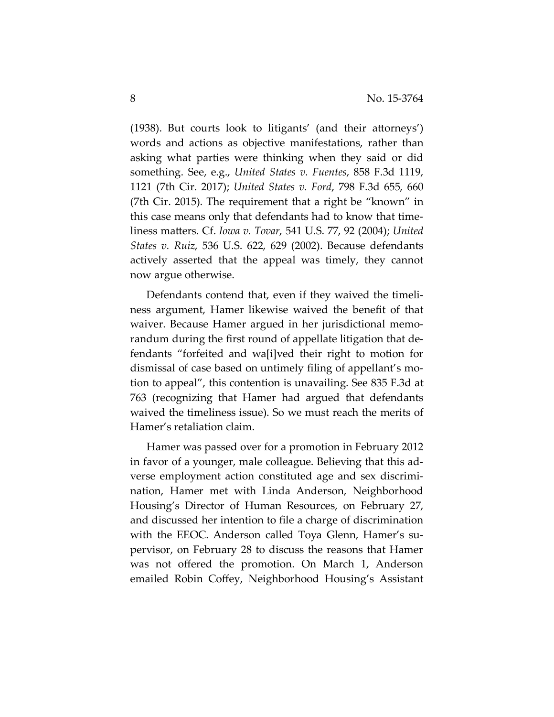$(1938)$ . But courts look to litigants' (and their attorneys') words and actions as objective manifestations, rather than asking what parties were thinking when they said or did something. See, e.g., *United States v. Fuentes*, 858 F.3d 1119, 1121 (7th Cir. 2017); *United States v. Ford*, 798 F.3d 655, 660 (7th Cir. 2015). The requirement that a right be "known" in this case means only that defendants had to know that timeliness matters. Cf. *Iowa v. Tovar*, 541 U.S. 77, 92 (2004); *United States v. Ruiz*, 536 U.S. 622, 629 (2002). Because defendants actively asserted that the appeal was timely, they cannot now argue otherwise.

Defendants contend that, even if they waived the timeliness argument, Hamer likewise waived the benefit of that waiver. Because Hamer argued in her jurisdictional memorandum during the first round of appellate litigation that defendants "forfeited and wa[i]ved their right to motion for dismissal of case based on untimely filing of appellant's motion to appeal", this contention is unavailing. See 835 F.3d at 763 (recognizing that Hamer had argued that defendants waived the timeliness issue). So we must reach the merits of Hamer's retaliation claim.

Hamer was passed over for a promotion in February 2012 in favor of a younger, male colleague. Believing that this adverse employment action constituted age and sex discrimination, Hamer met with Linda Anderson, Neighborhood Housing's Director of Human Resources, on February 27, and discussed her intention to file a charge of discrimination with the EEOC. Anderson called Toya Glenn, Hamer's supervisor, on February 28 to discuss the reasons that Hamer was not offered the promotion. On March 1, Anderson emailed Robin Coffey, Neighborhood Housing's Assistant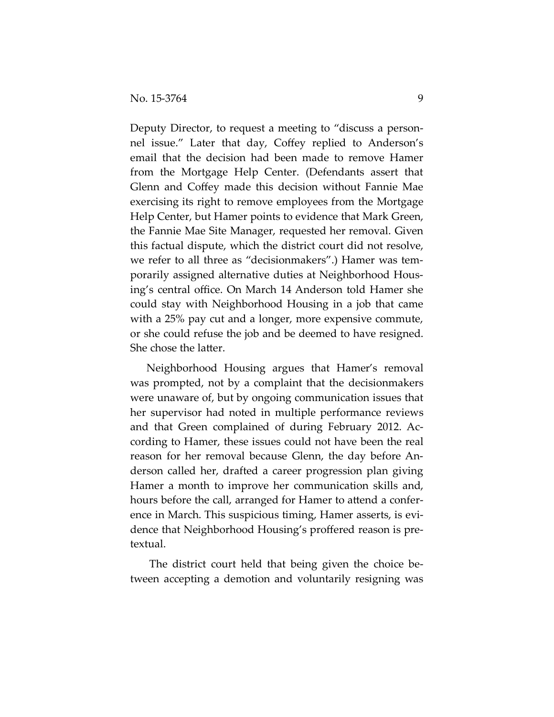Deputy Director, to request a meeting to "discuss a personnel issue." Later that day, Coffey replied to Anderson's email that the decision had been made to remove Hamer from the Mortgage Help Center. (Defendants assert that Glenn and Coffey made this decision without Fannie Mae exercising its right to remove employees from the Mortgage Help Center, but Hamer points to evidence that Mark Green, the Fannie Mae Site Manager, requested her removal. Given this factual dispute, which the district court did not resolve, we refer to all three as "decisionmakers".) Hamer was temporarily assigned alternative duties at Neighborhood Housing's central office. On March 14 Anderson told Hamer she could stay with Neighborhood Housing in a job that came with a 25% pay cut and a longer, more expensive commute, or she could refuse the job and be deemed to have resigned. She chose the latter.

Neighborhood Housing argues that Hamer's removal was prompted, not by a complaint that the decisionmakers were unaware of, but by ongoing communication issues that her supervisor had noted in multiple performance reviews and that Green complained of during February 2012. According to Hamer, these issues could not have been the real reason for her removal because Glenn, the day before Anderson called her, drafted a career progression plan giving Hamer a month to improve her communication skills and, hours before the call, arranged for Hamer to attend a conference in March. This suspicious timing, Hamer asserts, is evidence that Neighborhood Housing's proffered reason is pretextual.

The district court held that being given the choice between accepting a demotion and voluntarily resigning was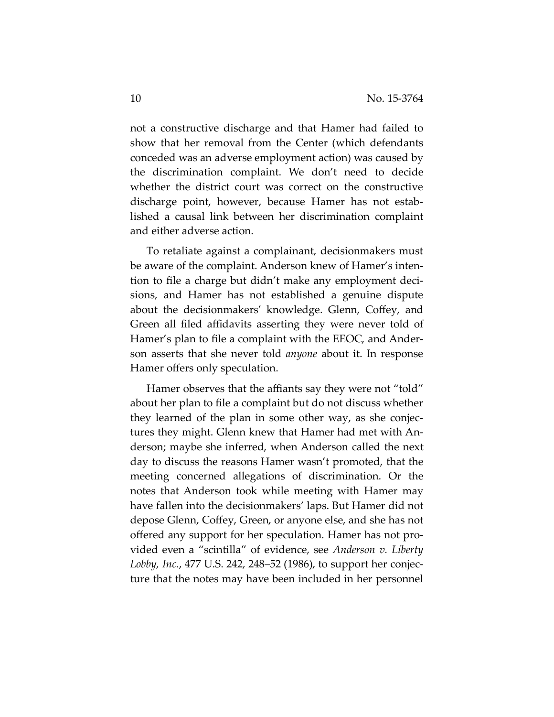not a constructive discharge and that Hamer had failed to show that her removal from the Center (which defendants conceded was an adverse employment action) was caused by the discrimination complaint. We don't need to decide whether the district court was correct on the constructive discharge point, however, because Hamer has not established a causal link between her discrimination complaint and either adverse action.

To retaliate against a complainant, decisionmakers must be aware of the complaint. Anderson knew of Hamer's intention to file a charge but didn't make any employment decisions, and Hamer has not established a genuine dispute about the decisionmakers' knowledge. Glenn, Coffey, and Green all filed affidavits asserting they were never told of Hamer's plan to file a complaint with the EEOC, and Anderson asserts that she never told *anyone* about it. In response Hamer offers only speculation.

Hamer observes that the affiants say they were not "told" about her plan to file a complaint but do not discuss whether they learned of the plan in some other way, as she conjectures they might. Glenn knew that Hamer had met with Anderson; maybe she inferred, when Anderson called the next day to discuss the reasons Hamer wasn't promoted, that the meeting concerned allegations of discrimination. Or the notes that Anderson took while meeting with Hamer may have fallen into the decisionmakers' laps. But Hamer did not depose Glenn, Coffey, Green, or anyone else, and she has not offered any support for her speculation. Hamer has not provided even a "scintilla" of evidence, see *Anderson v. Liberty Lobby, Inc.*, 477 U.S. 242, 248–52 (1986), to support her conjecture that the notes may have been included in her personnel